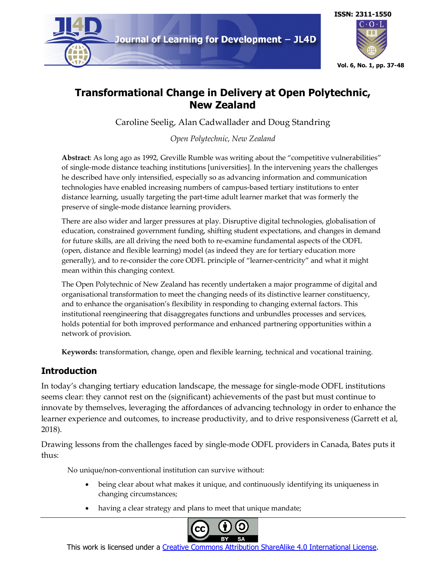



# **Transformational Change in Delivery at Open Polytechnic, New Zealand**

Caroline Seelig, Alan Cadwallader and Doug Standring

*Open Polytechnic, New Zealand*

**Abstract**: As long ago as 1992, Greville Rumble was writing about the "competitive vulnerabilities" of single-mode distance teaching institutions [universities]. In the intervening years the challenges he described have only intensified, especially so as advancing information and communication technologies have enabled increasing numbers of campus-based tertiary institutions to enter distance learning, usually targeting the part-time adult learner market that was formerly the preserve of single-mode distance learning providers.

There are also wider and larger pressures at play. Disruptive digital technologies, globalisation of education, constrained government funding, shifting student expectations, and changes in demand for future skills, are all driving the need both to re-examine fundamental aspects of the ODFL (open, distance and flexible learning) model (as indeed they are for tertiary education more generally), and to re-consider the core ODFL principle of "learner-centricity" and what it might mean within this changing context.

The Open Polytechnic of New Zealand has recently undertaken a major programme of digital and organisational transformation to meet the changing needs of its distinctive learner constituency, and to enhance the organisation's flexibility in responding to changing external factors. This institutional reengineering that disaggregates functions and unbundles processes and services, holds potential for both improved performance and enhanced partnering opportunities within a network of provision.

**Keywords:** transformation, change, open and flexible learning, technical and vocational training.

## **Introduction**

In today's changing tertiary education landscape, the message for single-mode ODFL institutions seems clear: they cannot rest on the (significant) achievements of the past but must continue to innovate by themselves, leveraging the affordances of advancing technology in order to enhance the learner experience and outcomes, to increase productivity, and to drive responsiveness (Garrett et al, 2018).

Drawing lessons from the challenges faced by single-mode ODFL providers in Canada, Bates puts it thus:

No unique/non-conventional institution can survive without:

- being clear about what makes it unique, and continuously identifying its uniqueness in changing circumstances;
- having a clear strategy and plans to meet that unique mandate;



This work is licensed under a Creative Commons Attribution ShareAlike 4.0 International License.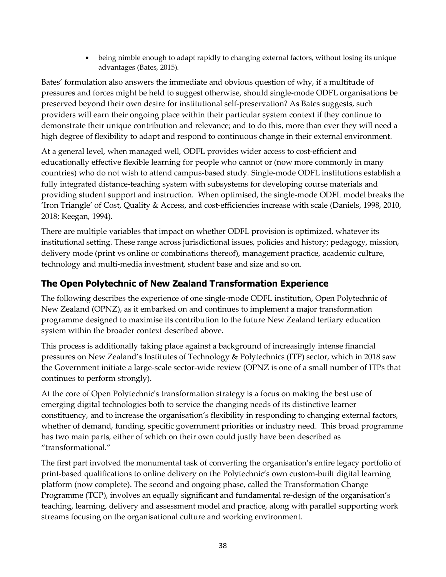• being nimble enough to adapt rapidly to changing external factors, without losing its unique advantages (Bates, 2015).

Bates' formulation also answers the immediate and obvious question of why, if a multitude of pressures and forces might be held to suggest otherwise, should single-mode ODFL organisations be preserved beyond their own desire for institutional self-preservation? As Bates suggests, such providers will earn their ongoing place within their particular system context if they continue to demonstrate their unique contribution and relevance; and to do this, more than ever they will need a high degree of flexibility to adapt and respond to continuous change in their external environment.

At a general level, when managed well, ODFL provides wider access to cost-efficient and educationally effective flexible learning for people who cannot or (now more commonly in many countries) who do not wish to attend campus-based study. Single-mode ODFL institutions establish a fully integrated distance-teaching system with subsystems for developing course materials and providing student support and instruction. When optimised, the single-mode ODFL model breaks the 'Iron Triangle' of Cost, Quality & Access, and cost-efficiencies increase with scale (Daniels, 1998, 2010, 2018; Keegan, 1994).

There are multiple variables that impact on whether ODFL provision is optimized, whatever its institutional setting. These range across jurisdictional issues, policies and history; pedagogy, mission, delivery mode (print vs online or combinations thereof), management practice, academic culture, technology and multi-media investment, student base and size and so on.

## **The Open Polytechnic of New Zealand Transformation Experience**

The following describes the experience of one single-mode ODFL institution, Open Polytechnic of New Zealand (OPNZ), as it embarked on and continues to implement a major transformation programme designed to maximise its contribution to the future New Zealand tertiary education system within the broader context described above.

This process is additionally taking place against a background of increasingly intense financial pressures on New Zealand's Institutes of Technology & Polytechnics (ITP) sector, which in 2018 saw the Government initiate a large-scale sector-wide review (OPNZ is one of a small number of ITPs that continues to perform strongly).

At the core of Open Polytechnic's transformation strategy is a focus on making the best use of emerging digital technologies both to service the changing needs of its distinctive learner constituency, and to increase the organisation's flexibility in responding to changing external factors, whether of demand, funding, specific government priorities or industry need. This broad programme has two main parts, either of which on their own could justly have been described as "transformational."

The first part involved the monumental task of converting the organisation's entire legacy portfolio of print-based qualifications to online delivery on the Polytechnic's own custom-built digital learning platform (now complete). The second and ongoing phase, called the Transformation Change Programme (TCP), involves an equally significant and fundamental re-design of the organisation's teaching, learning, delivery and assessment model and practice, along with parallel supporting work streams focusing on the organisational culture and working environment.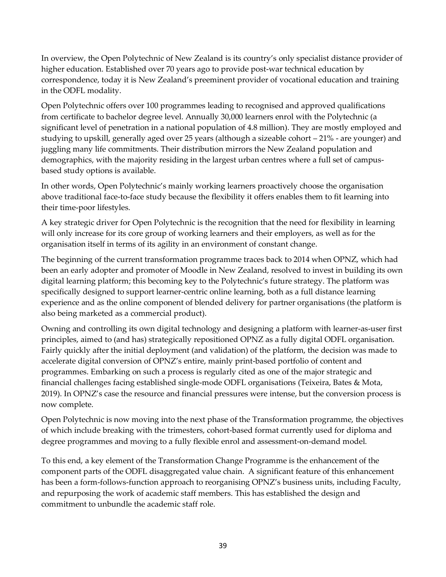In overview, the Open Polytechnic of New Zealand is its country's only specialist distance provider of higher education. Established over 70 years ago to provide post-war technical education by correspondence, today it is New Zealand's preeminent provider of vocational education and training in the ODFL modality.

Open Polytechnic offers over 100 programmes leading to recognised and approved qualifications from certificate to bachelor degree level. Annually 30,000 learners enrol with the Polytechnic (a significant level of penetration in a national population of 4.8 million). They are mostly employed and studying to upskill, generally aged over 25 years (although a sizeable cohort – 21% - are younger) and juggling many life commitments. Their distribution mirrors the New Zealand population and demographics, with the majority residing in the largest urban centres where a full set of campusbased study options is available.

In other words, Open Polytechnic's mainly working learners proactively choose the organisation above traditional face-to-face study because the flexibility it offers enables them to fit learning into their time-poor lifestyles.

A key strategic driver for Open Polytechnic is the recognition that the need for flexibility in learning will only increase for its core group of working learners and their employers, as well as for the organisation itself in terms of its agility in an environment of constant change.

The beginning of the current transformation programme traces back to 2014 when OPNZ, which had been an early adopter and promoter of Moodle in New Zealand, resolved to invest in building its own digital learning platform; this becoming key to the Polytechnic's future strategy. The platform was specifically designed to support learner-centric online learning, both as a full distance learning experience and as the online component of blended delivery for partner organisations (the platform is also being marketed as a commercial product).

Owning and controlling its own digital technology and designing a platform with learner-as-user first principles, aimed to (and has) strategically repositioned OPNZ as a fully digital ODFL organisation. Fairly quickly after the initial deployment (and validation) of the platform, the decision was made to accelerate digital conversion of OPNZ's entire, mainly print-based portfolio of content and programmes. Embarking on such a process is regularly cited as one of the major strategic and financial challenges facing established single-mode ODFL organisations (Teixeira, Bates & Mota, 2019). In OPNZ's case the resource and financial pressures were intense, but the conversion process is now complete.

Open Polytechnic is now moving into the next phase of the Transformation programme, the objectives of which include breaking with the trimesters, cohort-based format currently used for diploma and degree programmes and moving to a fully flexible enrol and assessment-on-demand model.

To this end, a key element of the Transformation Change Programme is the enhancement of the component parts of the ODFL disaggregated value chain. A significant feature of this enhancement has been a form-follows-function approach to reorganising OPNZ's business units, including Faculty, and repurposing the work of academic staff members. This has established the design and commitment to unbundle the academic staff role.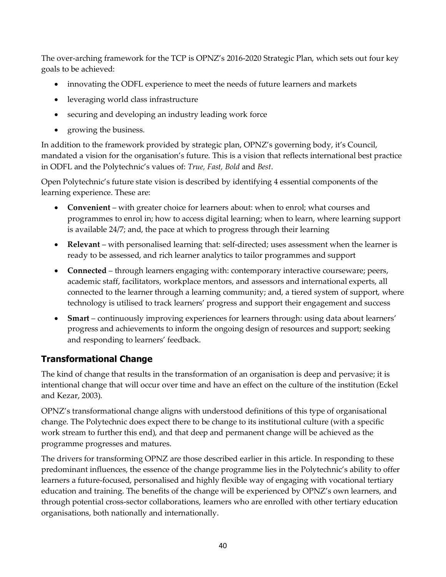The over-arching framework for the TCP is OPNZ's 2016-2020 Strategic Plan, which sets out four key goals to be achieved:

- innovating the ODFL experience to meet the needs of future learners and markets
- leveraging world class infrastructure
- securing and developing an industry leading work force
- growing the business.

In addition to the framework provided by strategic plan, OPNZ's governing body, it's Council, mandated a vision for the organisation's future. This is a vision that reflects international best practice in ODFL and the Polytechnic's values of: *True, Fast, Bold* and *Best*.

Open Polytechnic's future state vision is described by identifying 4 essential components of the learning experience. These are:

- **Convenient** with greater choice for learners about: when to enrol; what courses and programmes to enrol in; how to access digital learning; when to learn, where learning support is available 24/7; and, the pace at which to progress through their learning
- **Relevant** with personalised learning that: self-directed; uses assessment when the learner is ready to be assessed, and rich learner analytics to tailor programmes and support
- **Connected** through learners engaging with: contemporary interactive courseware; peers, academic staff, facilitators, workplace mentors, and assessors and international experts, all connected to the learner through a learning community; and, a tiered system of support, where technology is utilised to track learners' progress and support their engagement and success
- **Smart** continuously improving experiences for learners through: using data about learners' progress and achievements to inform the ongoing design of resources and support; seeking and responding to learners' feedback.

## **Transformational Change**

The kind of change that results in the transformation of an organisation is deep and pervasive; it is intentional change that will occur over time and have an effect on the culture of the institution (Eckel and Kezar, 2003).

OPNZ's transformational change aligns with understood definitions of this type of organisational change. The Polytechnic does expect there to be change to its institutional culture (with a specific work stream to further this end), and that deep and permanent change will be achieved as the programme progresses and matures.

The drivers for transforming OPNZ are those described earlier in this article. In responding to these predominant influences, the essence of the change programme lies in the Polytechnic's ability to offer learners a future-focused, personalised and highly flexible way of engaging with vocational tertiary education and training. The benefits of the change will be experienced by OPNZ's own learners, and through potential cross-sector collaborations, learners who are enrolled with other tertiary education organisations, both nationally and internationally.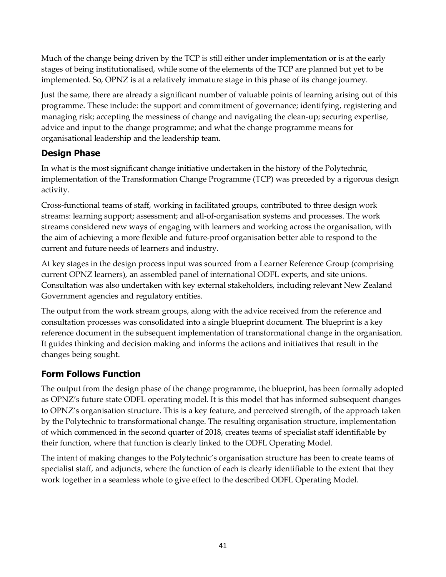Much of the change being driven by the TCP is still either under implementation or is at the early stages of being institutionalised, while some of the elements of the TCP are planned but yet to be implemented. So, OPNZ is at a relatively immature stage in this phase of its change journey.

Just the same, there are already a significant number of valuable points of learning arising out of this programme. These include: the support and commitment of governance; identifying, registering and managing risk; accepting the messiness of change and navigating the clean-up; securing expertise, advice and input to the change programme; and what the change programme means for organisational leadership and the leadership team.

## **Design Phase**

In what is the most significant change initiative undertaken in the history of the Polytechnic, implementation of the Transformation Change Programme (TCP) was preceded by a rigorous design activity.

Cross-functional teams of staff, working in facilitated groups, contributed to three design work streams: learning support; assessment; and all-of-organisation systems and processes. The work streams considered new ways of engaging with learners and working across the organisation, with the aim of achieving a more flexible and future-proof organisation better able to respond to the current and future needs of learners and industry.

At key stages in the design process input was sourced from a Learner Reference Group (comprising current OPNZ learners), an assembled panel of international ODFL experts, and site unions. Consultation was also undertaken with key external stakeholders, including relevant New Zealand Government agencies and regulatory entities.

The output from the work stream groups, along with the advice received from the reference and consultation processes was consolidated into a single blueprint document. The blueprint is a key reference document in the subsequent implementation of transformational change in the organisation. It guides thinking and decision making and informs the actions and initiatives that result in the changes being sought.

## **Form Follows Function**

The output from the design phase of the change programme, the blueprint, has been formally adopted as OPNZ's future state ODFL operating model. It is this model that has informed subsequent changes to OPNZ's organisation structure. This is a key feature, and perceived strength, of the approach taken by the Polytechnic to transformational change. The resulting organisation structure, implementation of which commenced in the second quarter of 2018, creates teams of specialist staff identifiable by their function, where that function is clearly linked to the ODFL Operating Model.

The intent of making changes to the Polytechnic's organisation structure has been to create teams of specialist staff, and adjuncts, where the function of each is clearly identifiable to the extent that they work together in a seamless whole to give effect to the described ODFL Operating Model.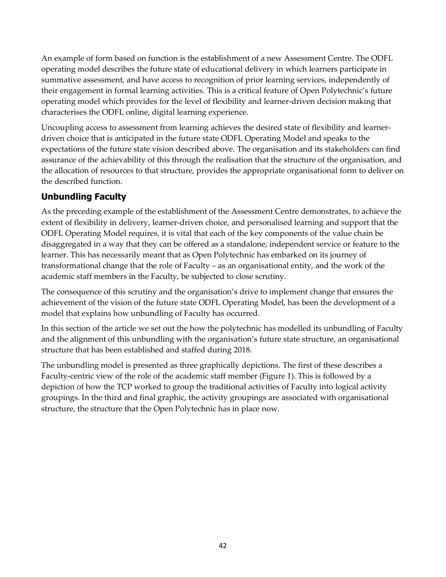An example of form based on function is the establishment of a new Assessment Centre. The ODFL operating model describes the future state of educational delivery in which learners participate in summative assessment, and have access to recognition of prior learning services, independently of their engagement in formal learning activities. This is a critical feature of Open Polytechnic's future operating model which provides for the level of flexibility and learner-driven decision making that characterises the ODFL online, digital learning experience.

Uncoupling access to assessment from learning achieves the desired state of flexibility and learnerdriven choice that is anticipated in the future state ODFL Operating Model and speaks to the expectations of the future state vision described above. The organisation and its stakeholders can find assurance of the achievability of this through the realisation that the structure of the organisation, and the allocation of resources to that structure, provides the appropriate organisational form to deliver on the described function.

## **Unbundling Faculty**

As the preceding example of the establishment of the Assessment Centre demonstrates, to achieve the extent of flexibility in delivery, learner-driven choice, and personalised learning and support that the ODFL Operating Model requires, it is vital that each of the key components of the value chain be disaggregated in a way that they can be offered as a standalone, independent service or feature to the learner. This has necessarily meant that as Open Polytechnic has embarked on its journey of transformational change that the role of Faculty – as an organisational entity, and the work of the academic staff members in the Faculty, be subjected to close scrutiny.

The consequence of this scrutiny and the organisation's drive to implement change that ensures the achievement of the vision of the future state ODFL Operating Model, has been the development of a model that explains how unbundling of Faculty has occurred.

In this section of the article we set out the how the polytechnic has modelled its unbundling of Faculty and the alignment of this unbundling with the organisation's future state structure, an organisational structure that has been established and staffed during 2018.

The unbundling model is presented as three graphically depictions. The first of these describes a Faculty-centric view of the role of the academic staff member (Figure 1). This is followed by a depiction of how the TCP worked to group the traditional activities of Faculty into logical activity groupings. In the third and final graphic, the activity groupings are associated with organisational structure, the structure that the Open Polytechnic has in place now.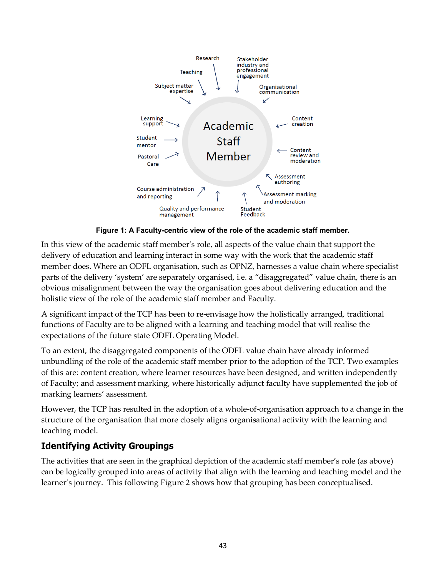

**Figure 1: A Faculty-centric view of the role of the academic staff member.**

In this view of the academic staff member's role, all aspects of the value chain that support the delivery of education and learning interact in some way with the work that the academic staff member does. Where an ODFL organisation, such as OPNZ, harnesses a value chain where specialist parts of the delivery 'system' are separately organised, i.e. a "disaggregated" value chain, there is an obvious misalignment between the way the organisation goes about delivering education and the holistic view of the role of the academic staff member and Faculty.

A significant impact of the TCP has been to re-envisage how the holistically arranged, traditional functions of Faculty are to be aligned with a learning and teaching model that will realise the expectations of the future state ODFL Operating Model.

To an extent, the disaggregated components of the ODFL value chain have already informed unbundling of the role of the academic staff member prior to the adoption of the TCP. Two examples of this are: content creation, where learner resources have been designed, and written independently of Faculty; and assessment marking, where historically adjunct faculty have supplemented the job of marking learners' assessment.

However, the TCP has resulted in the adoption of a whole-of-organisation approach to a change in the structure of the organisation that more closely aligns organisational activity with the learning and teaching model.

## **Identifying Activity Groupings**

The activities that are seen in the graphical depiction of the academic staff member's role (as above) can be logically grouped into areas of activity that align with the learning and teaching model and the learner's journey. This following Figure 2 shows how that grouping has been conceptualised.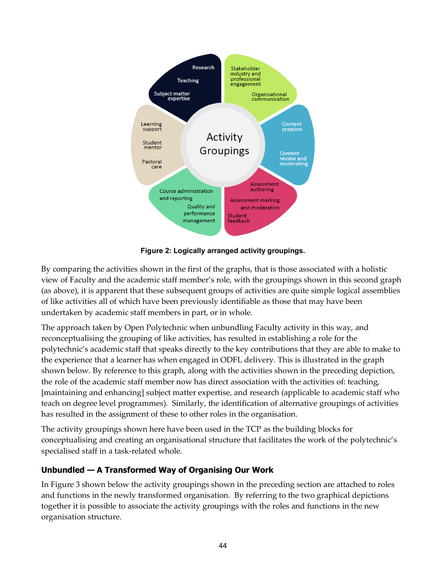

**Figure 2: Logically arranged activity groupings.**

By comparing the activities shown in the first of the graphs, that is those associated with a holistic view of Faculty and the academic staff member's role, with the groupings shown in this second graph (as above), it is apparent that these subsequent groups of activities are quite simple logical assemblies of like activities all of which have been previously identifiable as those that may have been undertaken by academic staff members in part, or in whole.

The approach taken by Open Polytechnic when unbundling Faculty activity in this way, and reconceptualising the grouping of like activities, has resulted in establishing a role for the polytechnic's academic staff that speaks directly to the key contributions that they are able to make to the experience that a learner has when engaged in ODFL delivery. This is illustrated in the graph shown below. By reference to this graph, along with the activities shown in the preceding depiction, the role of the academic staff member now has direct association with the activities of: teaching, [maintaining and enhancing] subject matter expertise, and research (applicable to academic staff who teach on degree level programmes). Similarly, the identification of alternative groupings of activities has resulted in the assignment of these to other roles in the organisation.

The activity groupings shown here have been used in the TCP as the building blocks for conceptualising and creating an organisational structure that facilitates the work of the polytechnic's specialised staff in a task-related whole.

### **Unbundled — A Transformed Way of Organising Our Work**

In Figure 3 shown below the activity groupings shown in the preceding section are attached to roles and functions in the newly transformed organisation. By referring to the two graphical depictions together it is possible to associate the activity groupings with the roles and functions in the new organisation structure.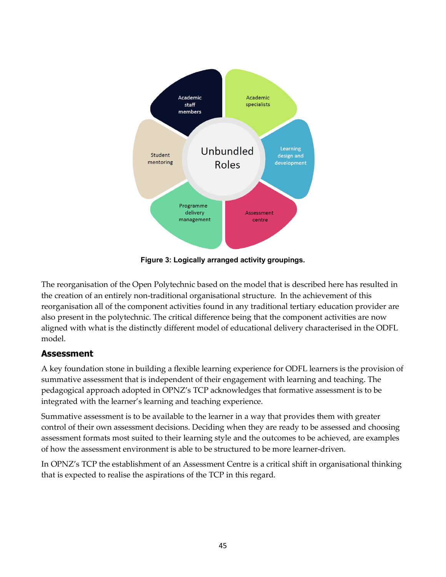

**Figure 3: Logically arranged activity groupings.**

The reorganisation of the Open Polytechnic based on the model that is described here has resulted in the creation of an entirely non-traditional organisational structure. In the achievement of this reorganisation all of the component activities found in any traditional tertiary education provider are also present in the polytechnic. The critical difference being that the component activities are now aligned with what is the distinctly different model of educational delivery characterised in the ODFL model.

## **Assessment**

A key foundation stone in building a flexible learning experience for ODFL learners is the provision of summative assessment that is independent of their engagement with learning and teaching. The pedagogical approach adopted in OPNZ's TCP acknowledges that formative assessment is to be integrated with the learner's learning and teaching experience.

Summative assessment is to be available to the learner in a way that provides them with greater control of their own assessment decisions. Deciding when they are ready to be assessed and choosing assessment formats most suited to their learning style and the outcomes to be achieved, are examples of how the assessment environment is able to be structured to be more learner-driven.

In OPNZ's TCP the establishment of an Assessment Centre is a critical shift in organisational thinking that is expected to realise the aspirations of the TCP in this regard.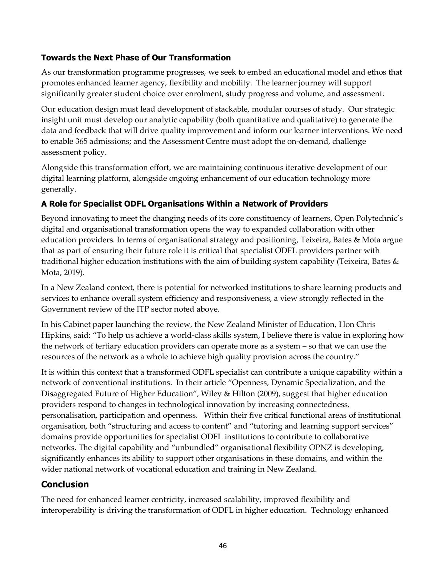### **Towards the Next Phase of Our Transformation**

As our transformation programme progresses, we seek to embed an educational model and ethos that promotes enhanced learner agency, flexibility and mobility. The learner journey will support significantly greater student choice over enrolment, study progress and volume, and assessment.

Our education design must lead development of stackable, modular courses of study. Our strategic insight unit must develop our analytic capability (both quantitative and qualitative) to generate the data and feedback that will drive quality improvement and inform our learner interventions. We need to enable 365 admissions; and the Assessment Centre must adopt the on-demand, challenge assessment policy.

Alongside this transformation effort, we are maintaining continuous iterative development of our digital learning platform, alongside ongoing enhancement of our education technology more generally.

### **A Role for Specialist ODFL Organisations Within a Network of Providers**

Beyond innovating to meet the changing needs of its core constituency of learners, Open Polytechnic's digital and organisational transformation opens the way to expanded collaboration with other education providers. In terms of organisational strategy and positioning, Teixeira, Bates & Mota argue that as part of ensuring their future role it is critical that specialist ODFL providers partner with traditional higher education institutions with the aim of building system capability (Teixeira, Bates  $\&$ Mota, 2019).

In a New Zealand context, there is potential for networked institutions to share learning products and services to enhance overall system efficiency and responsiveness, a view strongly reflected in the Government review of the ITP sector noted above.

In his Cabinet paper launching the review, the New Zealand Minister of Education, Hon Chris Hipkins, said: "To help us achieve a world-class skills system, I believe there is value in exploring how the network of tertiary education providers can operate more as a system – so that we can use the resources of the network as a whole to achieve high quality provision across the country."

It is within this context that a transformed ODFL specialist can contribute a unique capability within a network of conventional institutions. In their article "Openness, Dynamic Specialization, and the Disaggregated Future of Higher Education", Wiley & Hilton (2009), suggest that higher education providers respond to changes in technological innovation by increasing connectedness, personalisation, participation and openness. Within their five critical functional areas of institutional organisation, both "structuring and access to content" and "tutoring and learning support services" domains provide opportunities for specialist ODFL institutions to contribute to collaborative networks. The digital capability and "unbundled" organisational flexibility OPNZ is developing, significantly enhances its ability to support other organisations in these domains, and within the wider national network of vocational education and training in New Zealand.

### **Conclusion**

The need for enhanced learner centricity, increased scalability, improved flexibility and interoperability is driving the transformation of ODFL in higher education. Technology enhanced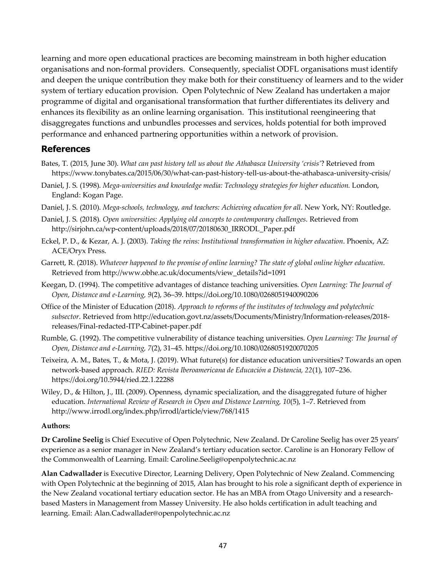learning and more open educational practices are becoming mainstream in both higher education organisations and non-formal providers. Consequently, specialist ODFL organisations must identify and deepen the unique contribution they make both for their constituency of learners and to the wider system of tertiary education provision. Open Polytechnic of New Zealand has undertaken a major programme of digital and organisational transformation that further differentiates its delivery and enhances its flexibility as an online learning organisation. This institutional reengineering that disaggregates functions and unbundles processes and services, holds potential for both improved performance and enhanced partnering opportunities within a network of provision.

### **References**

- Bates, T. (2015, June 30). *What can past history tell us about the Athabasca University 'crisis'*? Retrieved from https://www.tonybates.ca/2015/06/30/what-can-past-history-tell-us-about-the-athabasca-university-crisis/
- Daniel, J. S. (1998). *Mega-universities and knowledge media: Technology strategies for higher education.* London, England: Kogan Page.
- Daniel, J. S. (2010). *Mega-schools, technology, and teachers: Achieving education for all*. New York, NY: Routledge.
- Daniel, J. S. (2018). *Open universities: Applying old concepts to contemporary challenges*. Retrieved from http://sirjohn.ca/wp-content/uploads/2018/07/20180630\_IRRODL\_Paper.pdf
- Eckel, P. D., & Kezar, A. J. (2003). *Taking the reins: Institutional transformation in higher education*. Phoenix, AZ: ACE/Oryx Press.
- Garrett, R. (2018). *Whatever happened to the promise of online learning? The state of global online higher education*. Retrieved from http://www.obhe.ac.uk/documents/view\_details?id=1091
- Keegan, D. (1994). The competitive advantages of distance teaching universities. *Open Learning: The Journal of Open, Distance and e-Learning, 9*(2), 36–39. https://doi.org/10.1080/0268051940090206
- Office of the Minister of Education (2018). *Approach to reforms of the institutes of technology and polytechnic subsector*. Retrieved from http://education.govt.nz/assets/Documents/Ministry/Information-releases/2018 releases/Final-redacted-ITP-Cabinet-paper.pdf
- Rumble, G. (1992). The competitive vulnerability of distance teaching universities. *Open Learning: The Journal of Open, Distance and e-Learning, 7*(2), 31–45. https://doi.org/10.1080/0268051920070205
- Teixeira, A. M., Bates, T., & Mota, J. (2019). What future(s) for distance education universities? Towards an open network-based approach. *RIED: Revista Iberoamericana de Educación a Distancia, 22*(1), 107–236. https://doi.org/10.5944/ried.22.1.22288
- Wiley, D., & Hilton, J., III. (2009). Openness, dynamic specialization, and the disaggregated future of higher education. *International Review of Research in Open and Distance Learning, 10*(5), 1–7. Retrieved from http://www.irrodl.org/index.php/irrodl/article/view/768/1415

#### **Authors:**

**Dr Caroline Seelig** is Chief Executive of Open Polytechnic, New Zealand. Dr Caroline Seelig has over 25 years' experience as a senior manager in New Zealand's tertiary education sector. Caroline is an Honorary Fellow of the Commonwealth of Learning. Email: Caroline.Seelig@openpolytechnic.ac.nz

**Alan Cadwallader** is Executive Director, Learning Delivery, Open Polytechnic of New Zealand. Commencing with Open Polytechnic at the beginning of 2015, Alan has brought to his role a significant depth of experience in the New Zealand vocational tertiary education sector. He has an MBA from Otago University and a researchbased Masters in Management from Massey University. He also holds certification in adult teaching and learning. Email: Alan.Cadwallader@openpolytechnic.ac.nz